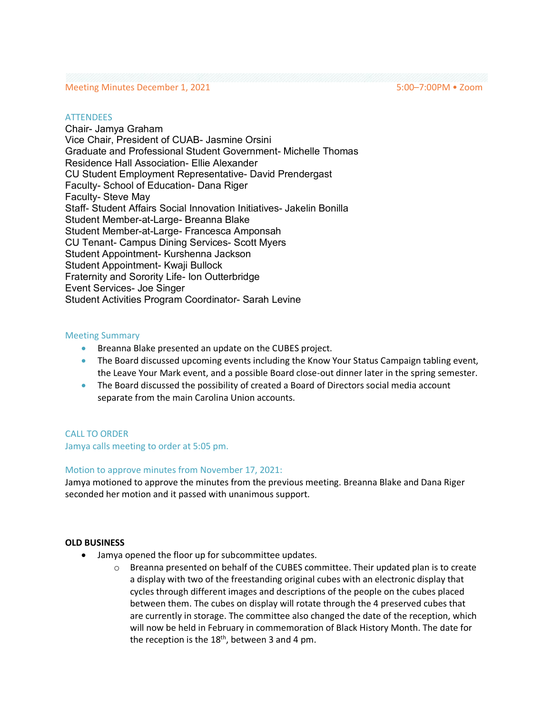## Meeting Minutes December 1, 2021 5:00–7:00PM • Zoom

### **ATTENDEES**

Chair- Jamya Graham Vice Chair, President of CUAB- Jasmine Orsini Graduate and Professional Student Government- Michelle Thomas Residence Hall Association- Ellie Alexander CU Student Employment Representative- David Prendergast Faculty- School of Education- Dana Riger Faculty- Steve May Staff- Student Affairs Social Innovation Initiatives- Jakelin Bonilla Student Member-at-Large- Breanna Blake Student Member-at-Large- Francesca Amponsah CU Tenant- Campus Dining Services- Scott Myers Student Appointment- Kurshenna Jackson Student Appointment- Kwaji Bullock Fraternity and Sorority Life- Ion Outterbridge Event Services- Joe Singer Student Activities Program Coordinator- Sarah Levine

### Meeting Summary

- Breanna Blake presented an update on the CUBES project.
- The Board discussed upcoming events including the Know Your Status Campaign tabling event, the Leave Your Mark event, and a possible Board close-out dinner later in the spring semester.
- The Board discussed the possibility of created a Board of Directors social media account separate from the main Carolina Union accounts.

## CALL TO ORDER

Jamya calls meeting to order at 5:05 pm.

## Motion to approve minutes from November 17, 2021:

Jamya motioned to approve the minutes from the previous meeting. Breanna Blake and Dana Riger seconded her motion and it passed with unanimous support.

#### **OLD BUSINESS**

- Jamya opened the floor up for subcommittee updates.
	- $\circ$  Breanna presented on behalf of the CUBES committee. Their updated plan is to create a display with two of the freestanding original cubes with an electronic display that cycles through different images and descriptions of the people on the cubes placed between them. The cubes on display will rotate through the 4 preserved cubes that are currently in storage. The committee also changed the date of the reception, which will now be held in February in commemoration of Black History Month. The date for the reception is the  $18<sup>th</sup>$ , between 3 and 4 pm.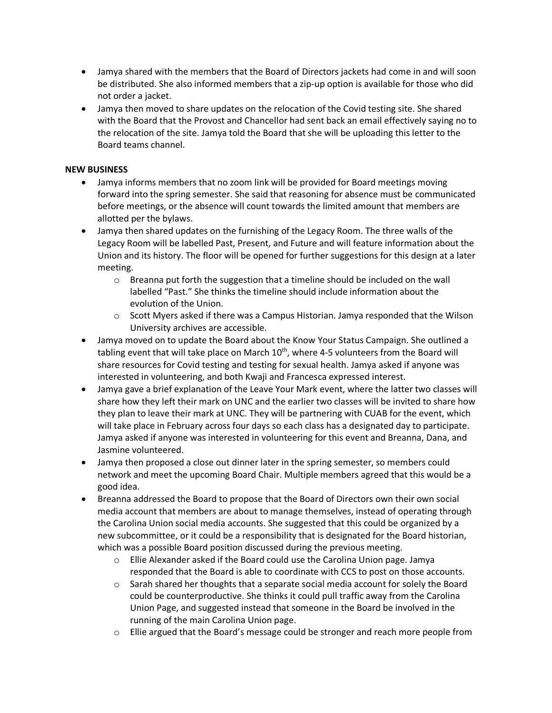- Jamya shared with the members that the Board of Directors jackets had come in and will soon be distributed. She also informed members that a zip-up option is available for those who did not order a jacket.
- Jamya then moved to share updates on the relocation of the Covid testing site. She shared with the Board that the Provost and Chancellor had sent back an email effectively saying no to the relocation of the site. Jamya told the Board that she will be uploading this letter to the Board teams channel.

# **NEW BUSINESS**

- Jamya informs members that no zoom link will be provided for Board meetings moving forward into the spring semester. She said that reasoning for absence must be communicated before meetings, or the absence will count towards the limited amount that members are allotted per the bylaws.
- Jamya then shared updates on the furnishing of the Legacy Room. The three walls of the Legacy Room will be labelled Past, Present, and Future and will feature information about the Union and its history. The floor will be opened for further suggestions for this design at a later meeting.
	- $\circ$  Breanna put forth the suggestion that a timeline should be included on the wall labelled "Past." She thinks the timeline should include information about the evolution of the Union.
	- $\circ$  Scott Myers asked if there was a Campus Historian. Jamya responded that the Wilson University archives are accessible.
- Jamya moved on to update the Board about the Know Your Status Campaign. She outlined a tabling event that will take place on March  $10^{th}$ , where 4-5 volunteers from the Board will share resources for Covid testing and testing for sexual health. Jamya asked if anyone was interested in volunteering, and both Kwaji and Francesca expressed interest.
- Jamya gave a brief explanation of the Leave Your Mark event, where the latter two classes will share how they left their mark on UNC and the earlier two classes will be invited to share how they plan to leave their mark at UNC. They will be partnering with CUAB for the event, which will take place in February across four days so each class has a designated day to participate. Jamya asked if anyone was interested in volunteering for this event and Breanna, Dana, and Jasmine volunteered.
- Jamya then proposed a close out dinner later in the spring semester, so members could network and meet the upcoming Board Chair. Multiple members agreed that this would be a good idea.
- Breanna addressed the Board to propose that the Board of Directors own their own social media account that members are about to manage themselves, instead of operating through the Carolina Union social media accounts. She suggested that this could be organized by a new subcommittee, or it could be a responsibility that is designated for the Board historian, which was a possible Board position discussed during the previous meeting.
	- o Ellie Alexander asked if the Board could use the Carolina Union page. Jamya responded that the Board is able to coordinate with CCS to post on those accounts.
	- $\circ$  Sarah shared her thoughts that a separate social media account for solely the Board could be counterproductive. She thinks it could pull traffic away from the Carolina Union Page, and suggested instead that someone in the Board be involved in the running of the main Carolina Union page.
	- o Ellie argued that the Board's message could be stronger and reach more people from